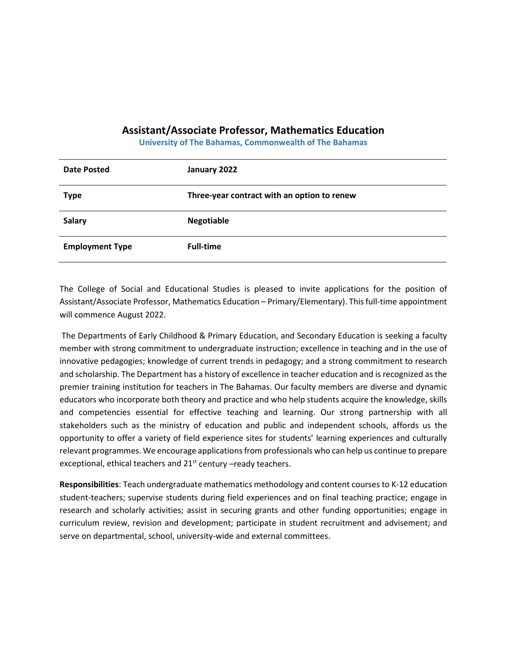## **Assistant/Associate Professor, Mathematics Education**

**University of The Bahamas, Commonwealth of The Bahamas**

| <b>Date Posted</b>     | January 2022                                |
|------------------------|---------------------------------------------|
| <b>Type</b>            | Three-year contract with an option to renew |
| <b>Salary</b>          | <b>Negotiable</b>                           |
| <b>Employment Type</b> | <b>Full-time</b>                            |

The College of Social and Educational Studies is pleased to invite applications for the position of Assistant/Associate Professor, Mathematics Education – Primary/Elementary). This full-time appointment will commence August 2022.

The Departments of Early Childhood & Primary Education, and Secondary Education is seeking a faculty member with strong commitment to undergraduate instruction; excellence in teaching and in the use of innovative pedagogies; knowledge of current trends in pedagogy; and a strong commitment to research and scholarship. The Department has a history of excellence in teacher education and is recognized as the premier training institution for teachers in The Bahamas. Our faculty members are diverse and dynamic educators who incorporate both theory and practice and who help students acquire the knowledge, skills and competencies essential for effective teaching and learning. Our strong partnership with all stakeholders such as the ministry of education and public and independent schools, affords us the opportunity to offer a variety of field experience sites for students' learning experiences and culturally relevant programmes. We encourage applications from professionals who can help us continue to prepare exceptional, ethical teachers and 21<sup>st</sup> century –ready teachers.

**Responsibilities**: Teach undergraduate mathematics methodology and content courses to K-12 education student-teachers; supervise students during field experiences and on final teaching practice; engage in research and scholarly activities; assist in securing grants and other funding opportunities; engage in curriculum review, revision and development; participate in student recruitment and advisement; and serve on departmental, school, university-wide and external committees.